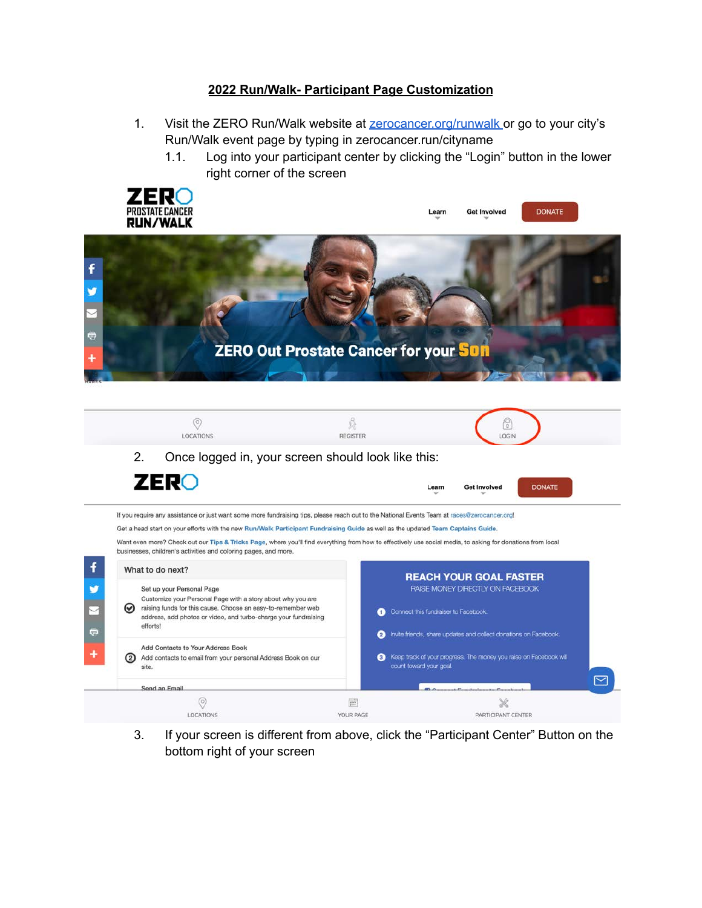#### **2022 Run/Walk- Participant Page Customization**

- 1. Visit the ZERO Run/Walk website at **[zerocancer.org/runwalk](http://zerocancer.org/runwalk)** or go to your city's Run/Walk event page by typing in zerocancer.run/cityname
	- 1.1. Log into your participant center by clicking the "Login" button in the lower right corner of the screen



3. If your screen is different from above, click the "Participant Center" Button on the bottom right of your screen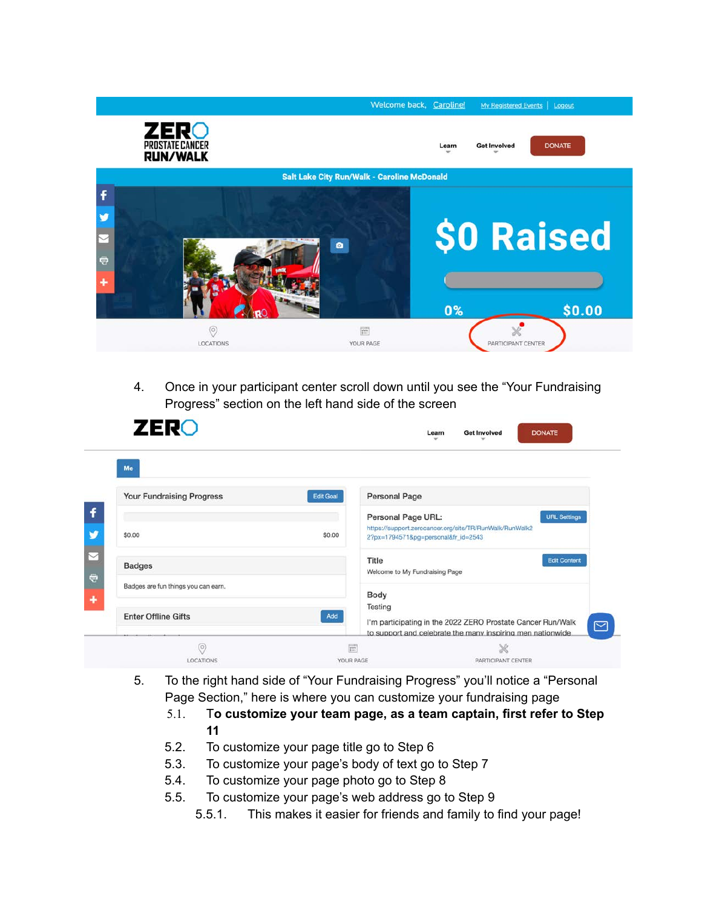

4. Once in your participant center scroll down until you see the "Your Fundraising Progress" section on the left hand side of the screen

| Me                                  |                  |                                                                                                                           |
|-------------------------------------|------------------|---------------------------------------------------------------------------------------------------------------------------|
| <b>Your Fundraising Progress</b>    | <b>Edit Goal</b> | <b>Personal Page</b>                                                                                                      |
|                                     |                  | <b>URL Settings</b><br>Personal Page URL:                                                                                 |
| \$0.00                              | \$0.00           | https://support.zerocancer.org/site/TR/RunWalk/RunWalk2<br>2?px=1794571&pg=personal&fr_id=2543                            |
| <b>Badges</b>                       |                  | <b>Edit Content</b><br>Title<br>Welcome to My Fundraising Page                                                            |
| Badges are fun things you can earn. |                  |                                                                                                                           |
|                                     |                  | Body                                                                                                                      |
| <b>Enter Offline Gifts</b>          | Add              | Testing                                                                                                                   |
|                                     |                  | I'm participating in the 2022 ZERO Prostate Cancer Run/Walk<br>to support and celebrate the many inspiring men nationwide |

- 5. To the right hand side of "Your Fundraising Progress" you'll notice a "Personal Page Section," here is where you can customize your fundraising page
	- 5.1. T**o customize your team page, as a team captain, first refer to Step 11**
	- 5.2. To customize your page title go to Step 6
	- 5.3. To customize your page's body of text go to Step 7
	- 5.4. To customize your page photo go to Step 8
	- 5.5. To customize your page's web address go to Step 9
		- 5.5.1. This makes it easier for friends and family to find your page!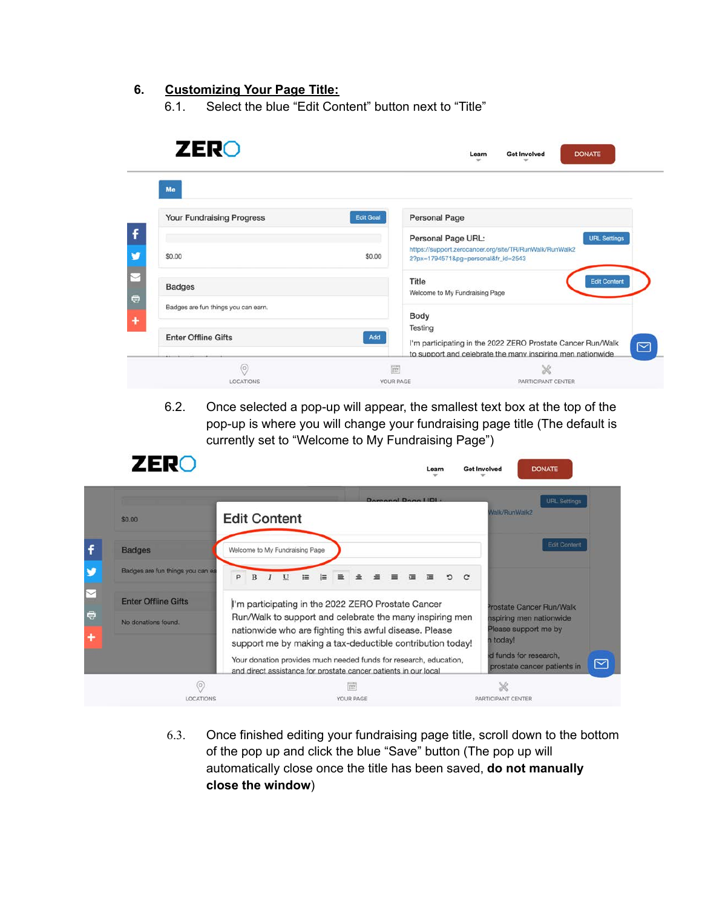#### **6. Customizing Your Page Title:**

6.1. Select the blue "Edit Content" button next to "Title"

| <b>ZERO</b>                                                       |                  | <b>Get Involved</b><br><b>DONATE</b><br>Learn                                                                                               |
|-------------------------------------------------------------------|------------------|---------------------------------------------------------------------------------------------------------------------------------------------|
| Me<br><b>Your Fundraising Progress</b>                            | <b>Edit Goal</b> | <b>Personal Page</b>                                                                                                                        |
| \$0.00                                                            | \$0.00           | <b>URL Settings</b><br>Personal Page URL:<br>https://support.zerocancer.org/site/TR/RunWalk/RunWalk2<br>2?px=1794571&pg=personal&fr_id=2543 |
| <b>Badges</b>                                                     |                  | <b>Edit Content</b><br>Title<br>Welcome to My Fundraising Page                                                                              |
| Badges are fun things you can earn.<br><b>Enter Offline Gifts</b> | Add              | Body<br>Testing<br>I'm participating in the 2022 ZERO Prostate Cancer Run/Walk                                                              |
| (O)                                                               | F                | to support and celebrate the many inspiring men nationwide.<br>X                                                                            |

6.2. Once selected a pop-up will appear, the smallest text box at the top of the pop-up is where you will change your fundraising page title (The default is currently set to "Welcome to My Fundraising Page")



6.3. Once finished editing your fundraising page title, scroll down to the bottom of the pop up and click the blue "Save" button (The pop up will automatically close once the title has been saved, **do not manually close the window**)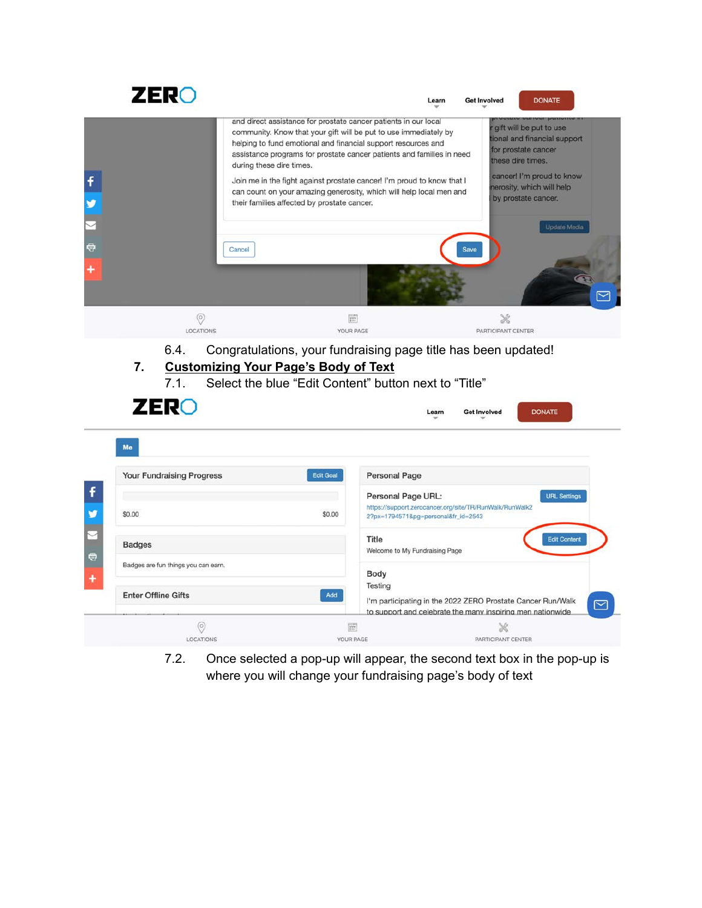

7.2. Once selected a pop-up will appear, the second text box in the pop-up is where you will change your fundraising page's body of text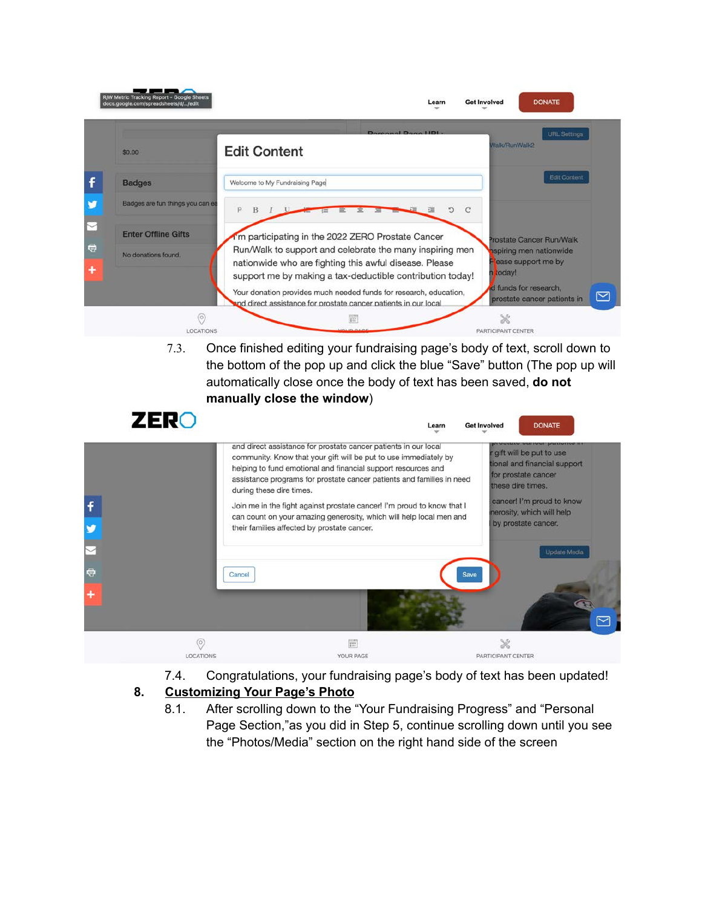|                                  | Domanal Dago LIDL.<br><b>URL Settings</b>                                                                                                                                                                                                  |
|----------------------------------|--------------------------------------------------------------------------------------------------------------------------------------------------------------------------------------------------------------------------------------------|
| \$0.00                           | <b>Walk/RunWalk2</b><br><b>Edit Content</b>                                                                                                                                                                                                |
| <b>Badges</b>                    | <b>Edit Content</b><br>Welcome to My Fundraising Page                                                                                                                                                                                      |
| Badges are fun things you can ea | P<br>D<br>理                                                                                                                                                                                                                                |
| <b>Enter Offline Gifts</b>       | 'm participating in the 2022 ZERO Prostate Cancer<br>Prostate Cancer Run/Walk                                                                                                                                                              |
| No donations found.              | Run/Walk to support and celebrate the many inspiring men<br>aspiring men nationwide<br>ease support me by<br>nationwide who are fighting this awful disease. Please<br>today!<br>support me by making a tax-deductible contribution today! |
|                                  | d funds for research,<br>Your donation provides much needed funds for research, education,<br>prostate cancer patients in<br>and direct assistance for prostate cancer patients in our local                                               |

7.3. Once finished editing your fundraising page's body of text, scroll down to the bottom of the pop up and click the blue "Save" button (The pop up will automatically close once the body of text has been saved, **do not manually close the window**)



7.4. Congratulations, your fundraising page's body of text has been updated!

### **8. Customizing Your Page's Photo**

8.1. After scrolling down to the "Your Fundraising Progress" and "Personal Page Section,"as you did in Step 5, continue scrolling down until you see the "Photos/Media" section on the right hand side of the screen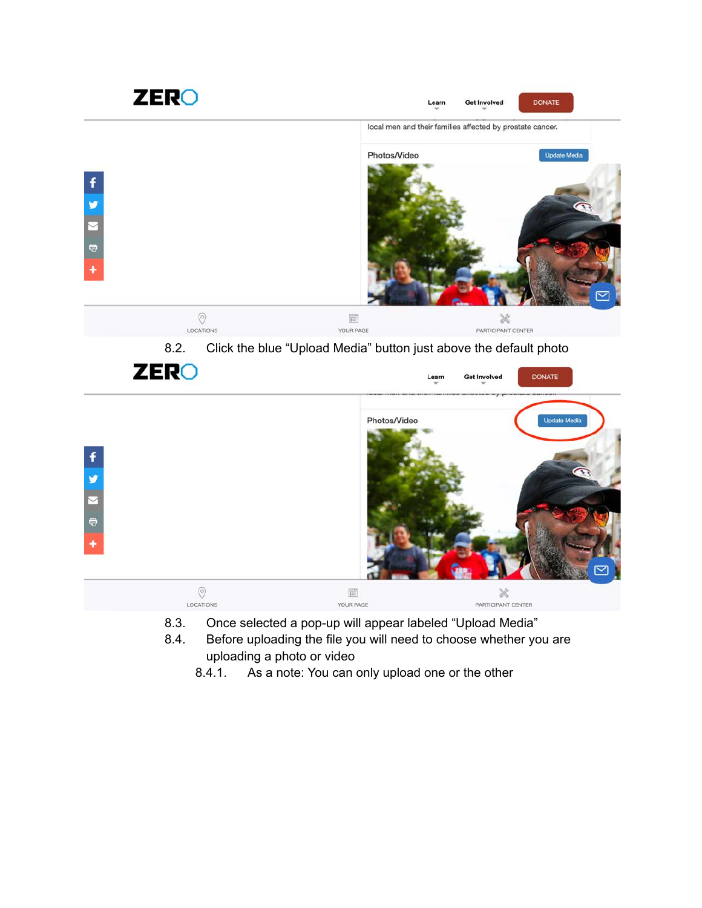



- 8.3. Once selected a pop-up will appear labeled "Upload Media"
- 8.4. Before uploading the file you will need to choose whether you are uploading a photo or video
	- 8.4.1. As a note: You can only upload one or the other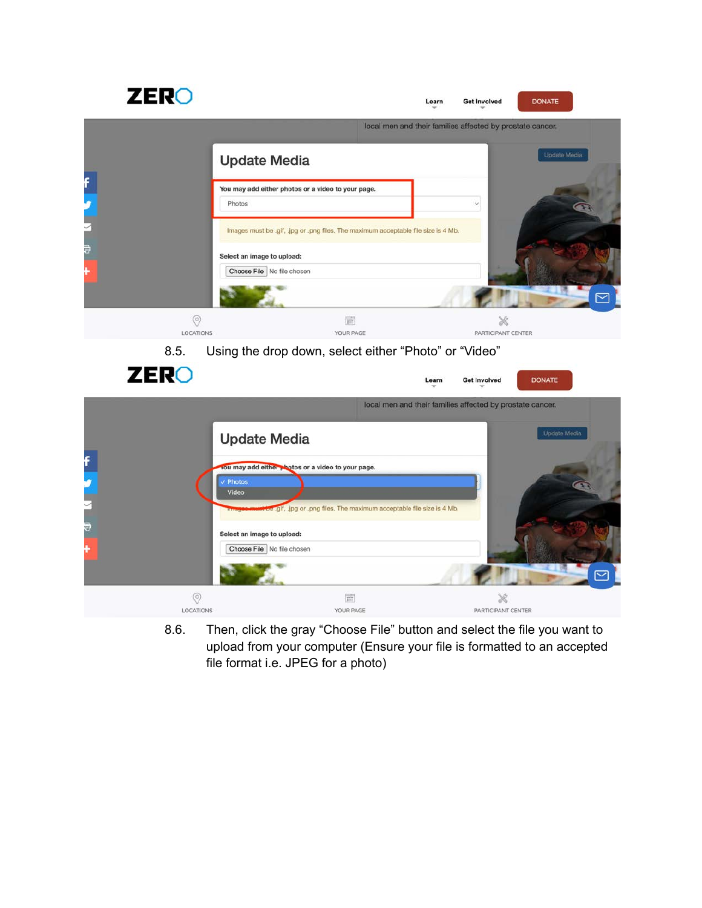

8.6. Then, click the gray "Choose File" button and select the file you want to upload from your computer (Ensure your file is formatted to an accepted file format i.e. JPEG for a photo)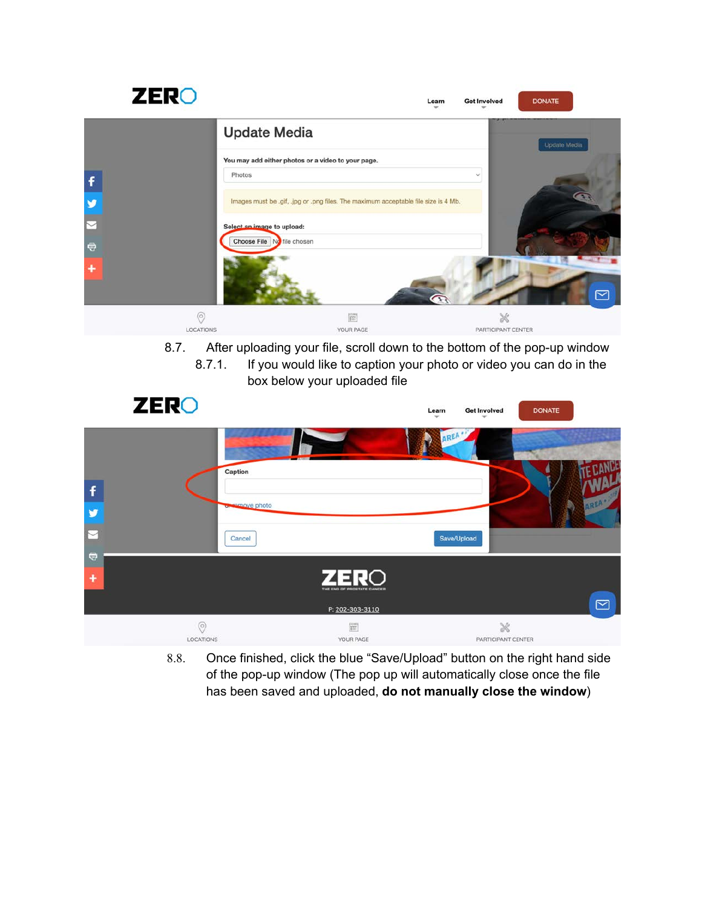| <b>ZERO</b> |                                                    | Learn                                                                              | <b>DONATE</b><br><b>Get Involved</b> |
|-------------|----------------------------------------------------|------------------------------------------------------------------------------------|--------------------------------------|
|             | <b>Update Media</b>                                |                                                                                    | Update Media                         |
|             | You may add either photos or a video to your page. |                                                                                    |                                      |
| f           | Photos                                             |                                                                                    | $\checkmark$                         |
| ¥           |                                                    | Images must be .gif, .jpg or .png files. The maximum acceptable file size is 4 Mb. |                                      |
|             | Select an image to upload:                         |                                                                                    |                                      |
| $\bigcirc$  | Choose File No file chosen                         |                                                                                    |                                      |
| ٠           |                                                    |                                                                                    | ⊠                                    |
|             | $\circ$                                            | $\overline{\mathbf{m}}$                                                            | X                                    |
|             | LOCATIONS                                          | YOUR PAGE                                                                          | PARTICIPANT CENTER                   |

8.7. After uploading your file, scroll down to the bottom of the pop-up window

8.7.1. If you would like to caption your photo or video you can do in the box below your uploaded file

|                             | <b>ZERO</b>                 |                                                       | Learn       | <b>Get Involved</b>            | <b>DONATE</b> |                  |
|-----------------------------|-----------------------------|-------------------------------------------------------|-------------|--------------------------------|---------------|------------------|
|                             | Caption                     |                                                       | дR          |                                | g             |                  |
| $\ddot{f}$<br>¥             | or semove photo             |                                                       |             |                                |               | AREA .           |
| $\overline{\triangleright}$ | Cancel                      |                                                       | Save/Upload |                                |               |                  |
| $\bigcirc$<br>$\ddot{}$     |                             | <b>ZERO</b><br>THE END OF PROSTATE CANCER             |             |                                |               | $\boxed{\simeq}$ |
|                             | $\circledcirc$<br>LOCATIONS | P: 202-303-3110<br>$\overline{\text{m}}$<br>YOUR PAGE |             | $\aleph$<br>PARTICIPANT CENTER |               |                  |

8.8. Once finished, click the blue "Save/Upload" button on the right hand side of the pop-up window (The pop up will automatically close once the file has been saved and uploaded, **do not manually close the window**)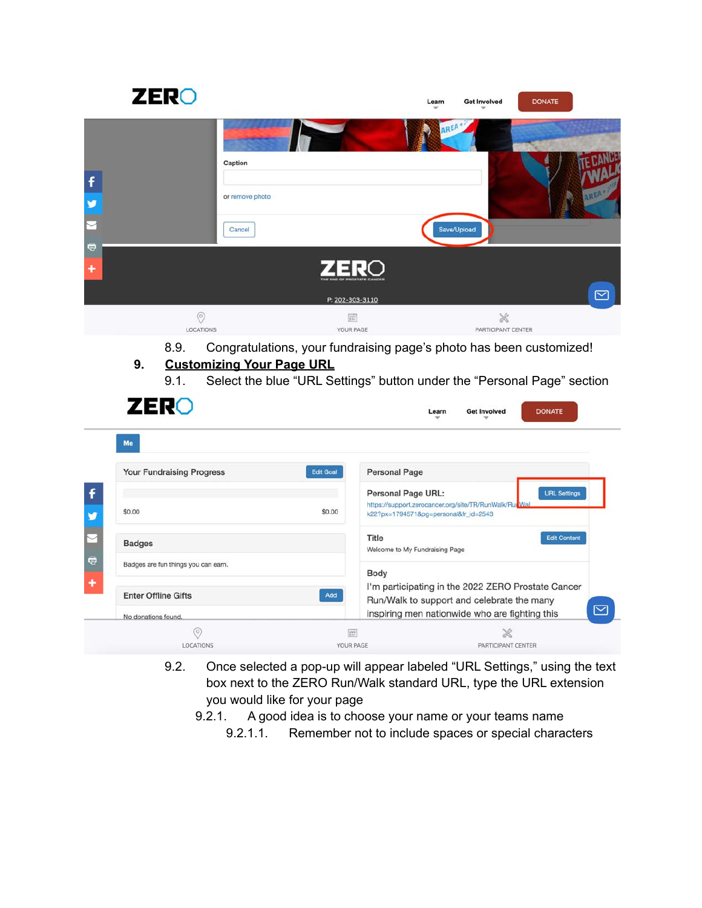|            | <b>ZERO</b>                              |                                                                     | Learn | <b>Get Involved</b>     | <b>DONATE</b>          |
|------------|------------------------------------------|---------------------------------------------------------------------|-------|-------------------------|------------------------|
|            |                                          |                                                                     |       |                         |                        |
| f          | Caption<br>or remove photo               |                                                                     |       |                         | <b>SREA</b>            |
| $\bigcirc$ | Cancel                                   |                                                                     |       | Save/Upload             |                        |
| ٠          |                                          | <b>ZERO</b><br>THE END OF HOOSTATE CANCER                           |       |                         |                        |
|            |                                          | P: 202-303-3110                                                     |       |                         | $\overline{\boxtimes}$ |
|            | $\odot$<br>LOCATIONS                     | T<br>YOUR PAGE                                                      |       | X<br>PARTICIPANT CENTER |                        |
| 9.         | 8.9.<br><b>Customizing Your Page URL</b> | Congratulations, your fundraising page's photo has been customized! |       |                         |                        |

9.1. Select the blue "URL Settings" button under the "Personal Page" section

| <b>ZERO</b>                         |                  | <b>Get Involved</b><br>Learn                                                                     | <b>DONATE</b>       |
|-------------------------------------|------------------|--------------------------------------------------------------------------------------------------|---------------------|
| Me                                  |                  |                                                                                                  |                     |
| <b>Your Fundraising Progress</b>    | <b>Edit Goal</b> | <b>Personal Page</b>                                                                             |                     |
|                                     |                  | Personal Page URL:                                                                               | <b>URL Settings</b> |
| \$0.00                              | \$0.00           | https://support.zerocancer.org/site/TR/RunWalk/RunWal<br>k22?px=1794571&pg=personal&fr_id=2543   |                     |
| <b>Badges</b>                       | Title            | Welcome to My Fundraising Page                                                                   | <b>Edit Content</b> |
| Badges are fun things you can earn. |                  |                                                                                                  |                     |
|                                     | Body             |                                                                                                  |                     |
| <b>Enter Offline Gifts</b>          | Add              | I'm participating in the 2022 ZERO Prostate Cancer<br>Run/Walk to support and celebrate the many |                     |
| No donations found.                 |                  | inspiring men nationwide who are fighting this                                                   |                     |
| $\circ$                             | 冒                |                                                                                                  | X                   |
| LOCATIONS                           | YOUR PAGE        |                                                                                                  | PARTICIPANT CENTER  |

- 9.2. Once selected a pop-up will appear labeled "URL Settings," using the text box next to the ZERO Run/Walk standard URL, type the URL extension you would like for your page
	- 9.2.1. A good idea is to choose your name or your teams name
		- 9.2.1.1. Remember not to include spaces or special characters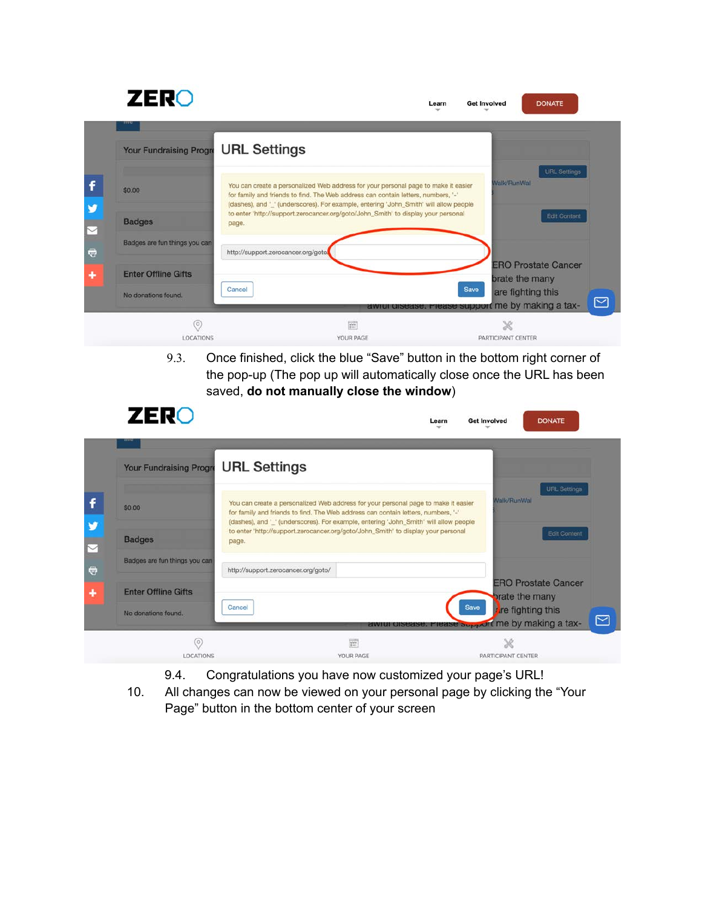# **ZERO**

| <b>Your Fundraising Progre</b> | <b>URL Settings</b>                                                                                                                                                                                                                                              |                                                                                     |
|--------------------------------|------------------------------------------------------------------------------------------------------------------------------------------------------------------------------------------------------------------------------------------------------------------|-------------------------------------------------------------------------------------|
| \$0.00                         | You can create a personalized Web address for your personal page to make it easier<br>for family and friends to find. The Web address can contain letters, numbers, '-'<br>(dashes), and ' ' (underscores). For example, entering 'John_Smith' will allow people | <b>URL</b> Settings<br><b>Walk/RunWal</b>                                           |
| <b>Badges</b>                  | to enter 'http://support.zerocancer.org/goto/John_Smith' to display your personal<br>page.                                                                                                                                                                       | Edit Content                                                                        |
| Badges are fun things you can  | http://support.zerocancer.org/goto                                                                                                                                                                                                                               |                                                                                     |
| <b>Enter Offline Gifts</b>     |                                                                                                                                                                                                                                                                  | <b>ERO Prostate Cancer</b><br>brate the many                                        |
| No donations found.            | Cancel                                                                                                                                                                                                                                                           | Save<br>are fighting this<br>⊠<br>awiui uisease. Fiease support me by making a tax- |
| $\circ$                        | 晋                                                                                                                                                                                                                                                                |                                                                                     |
| <b>LOCATIONS</b>               | YOUR PAGE                                                                                                                                                                                                                                                        | PARTICIPANT CENTER                                                                  |

9.3. Once finished, click the blue "Save" button in the bottom right corner of the pop-up (The pop up will automatically close once the URL has been saved, **do not manually close the window**)

Learn

Get Involved

**Get Involved** 

Learn

DONATE

**DONATE** 

## **ZERO**

| <b>URL Settings</b><br><b>Walk/RunWal</b><br>You can create a personalized Web address for your personal page to make it easier<br>\$0.00<br>for family and friends to find. The Web address can contain letters, numbers, '-'<br>(dashes), and '_' (underscores). For example, entering 'John_Smith' will allow people<br>to enter 'http://support.zerocancer.org/goto/John_Smith' to display your personal<br>Edit Content<br><b>Badges</b><br>page.<br>Badges are fun things you can<br>http://support.zerocancer.org/goto/<br><b>ERO Prostate Cancer</b><br><b>Enter Offline Gifts</b><br><b>brate the many</b><br><b>Save</b><br>Cancel<br>ire fighting this<br>No donations found. | <b>Your Fundraising Progre</b> | <b>URL Settings</b> |           |                    |
|------------------------------------------------------------------------------------------------------------------------------------------------------------------------------------------------------------------------------------------------------------------------------------------------------------------------------------------------------------------------------------------------------------------------------------------------------------------------------------------------------------------------------------------------------------------------------------------------------------------------------------------------------------------------------------------|--------------------------------|---------------------|-----------|--------------------|
|                                                                                                                                                                                                                                                                                                                                                                                                                                                                                                                                                                                                                                                                                          |                                |                     |           |                    |
|                                                                                                                                                                                                                                                                                                                                                                                                                                                                                                                                                                                                                                                                                          |                                |                     |           |                    |
|                                                                                                                                                                                                                                                                                                                                                                                                                                                                                                                                                                                                                                                                                          |                                |                     |           |                    |
|                                                                                                                                                                                                                                                                                                                                                                                                                                                                                                                                                                                                                                                                                          |                                |                     |           |                    |
| awiui uisease. Frease support me by making a tax-                                                                                                                                                                                                                                                                                                                                                                                                                                                                                                                                                                                                                                        |                                |                     |           |                    |
|                                                                                                                                                                                                                                                                                                                                                                                                                                                                                                                                                                                                                                                                                          | <b>LOCATIONS</b>               |                     | YOUR PAGE | PARTICIPANT CENTER |

- 9.4. Congratulations you have now customized your page's URL!
- 10. All changes can now be viewed on your personal page by clicking the "Your Page" button in the bottom center of your screen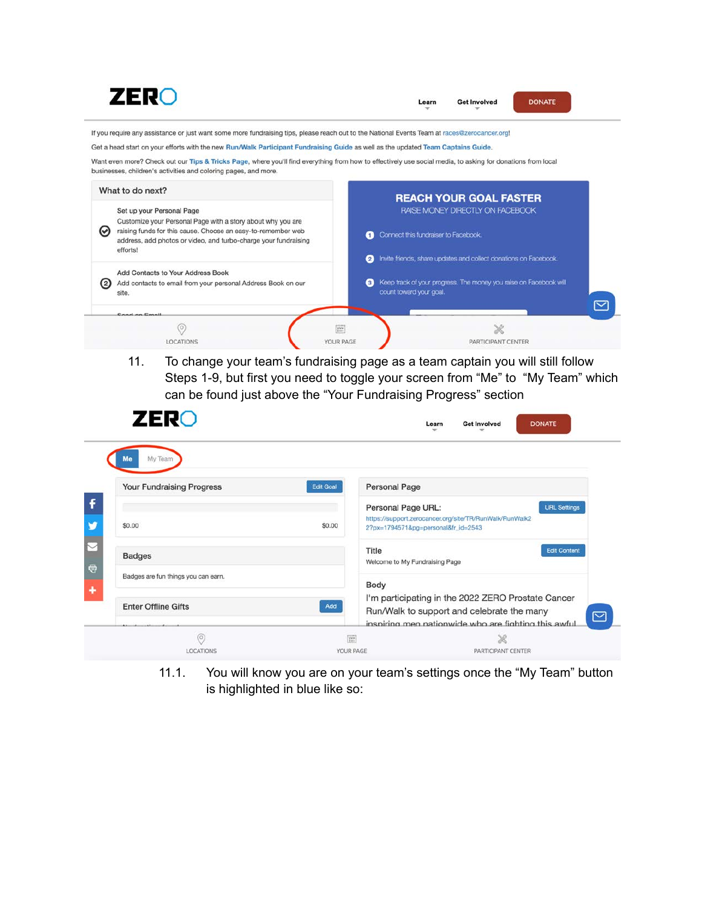

11. To change your team's fundraising page as a team captain you will still follow Steps 1-9, but first you need to toggle your screen from "Me" to "My Team" which can be found just above the "Your Fundraising Progress" section

| <b>ZERO</b>                                       | Learn                                                               | <b>DONATE</b><br><b>Get Involved</b>                                                                                                                     |
|---------------------------------------------------|---------------------------------------------------------------------|----------------------------------------------------------------------------------------------------------------------------------------------------------|
| My Team<br>Me<br><b>Your Fundraising Progress</b> | <b>Personal Page</b><br><b>Edit Goal</b>                            |                                                                                                                                                          |
| \$0.00                                            | Personal Page URL:<br>\$0.00<br>2?px=1794571&pg=personal&fr_id=2543 | <b>URL Settings</b><br>https://support.zerocancer.org/site/TR/RunWalk/RunWalk2                                                                           |
| <b>Badges</b>                                     | Title<br>Welcome to My Fundraising Page                             | <b>Edit Content</b>                                                                                                                                      |
| Badges are fun things you can earn.               | Body                                                                |                                                                                                                                                          |
| <b>Enter Offline Gifts</b>                        | Add                                                                 | I'm participating in the 2022 ZERO Prostate Cancer<br>Run/Walk to support and celebrate the many<br>inspiring men nationwide who are fighting this awful |
| (O)<br><b>LOCATIONS</b>                           | 圍<br>YOUR PAGE                                                      | X<br>PARTICIPANT CENTER                                                                                                                                  |

11.1. You will know you are on your team's settings once the "My Team" button is highlighted in blue like so: